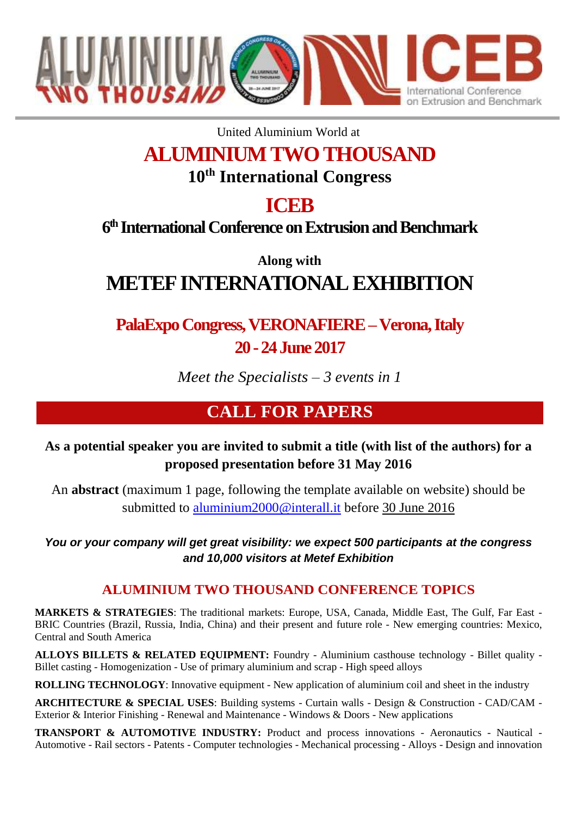

United Aluminium World at

# **ALUMINIUM TWO THOUSAND**

**10th International Congress**

## **ICEB**

### **6 th International Conference on Extrusion and Benchmark**

**Along with METEF INTERNATIONAL EXHIBITION**

## **PalaExpo Congress, VERONAFIERE –Verona, Italy 20 -24 June 2017**

*Meet the Specialists – 3 events in 1*

### **CALL FOR PAPERS**

#### **As a potential speaker you are invited to submit a title (with list of the authors) for a proposed presentation before 31 May 2016**

An **abstract** (maximum 1 page, following the template available on website) should be submitted to [aluminium2000@interall.it](mailto:aluminium2000@interall.it) before 30 June 2016

*You or your company will get great visibility: we expect 500 participants at the congress and 10,000 visitors at Metef Exhibition*

#### **ALUMINIUM TWO THOUSAND CONFERENCE TOPICS**

**MARKETS & STRATEGIES**: The traditional markets: Europe, USA, Canada, Middle East, The Gulf, Far East - BRIC Countries (Brazil, Russia, India, China) and their present and future role - New emerging countries: Mexico, Central and South America

**ALLOYS BILLETS & RELATED EQUIPMENT:** Foundry - Aluminium casthouse technology - Billet quality - Billet casting - Homogenization - Use of primary aluminium and scrap - High speed alloys

**ROLLING TECHNOLOGY:** Innovative equipment - New application of aluminium coil and sheet in the industry

**ARCHITECTURE & SPECIAL USES**: Building systems - Curtain walls - Design & Construction - CAD/CAM - Exterior & Interior Finishing - Renewal and Maintenance - Windows & Doors - New applications

**TRANSPORT & AUTOMOTIVE INDUSTRY:** Product and process innovations - Aeronautics - Nautical - Automotive - Rail sectors - Patents - Computer technologies - Mechanical processing - Alloys - Design and innovation